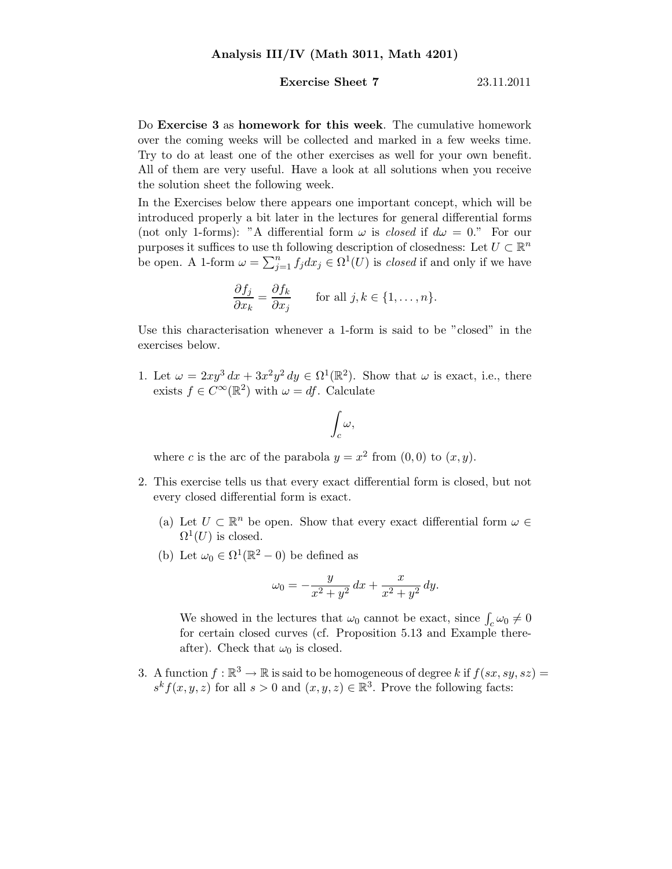## **Exercise Sheet 7** 23.11.2011

Do Exercise 3 as homework for this week. The cumulative homework over the coming weeks will be collected and marked in a few weeks time. Try to do at least one of the other exercises as well for your own benefit. All of them are very useful. Have a look at all solutions when you receive the solution sheet the following week.

In the Exercises below there appears one important concept, which will be introduced properly a bit later in the lectures for general differential forms (not only 1-forms): "A differential form  $\omega$  is *closed* if  $d\omega = 0$ ." For our purposes it suffices to use th following description of closedness: Let  $U \subset \mathbb{R}^n$ be open. A 1-form  $\omega = \sum_{j=1}^n f_j dx_j \in \Omega^1(U)$  is *closed* if and only if we have

$$
\frac{\partial f_j}{\partial x_k} = \frac{\partial f_k}{\partial x_j} \quad \text{for all } j, k \in \{1, \dots, n\}.
$$

Use this characterisation whenever a 1-form is said to be "closed" in the exercises below.

1. Let  $\omega = 2xy^3 dx + 3x^2y^2 dy \in \Omega^1(\mathbb{R}^2)$ . Show that  $\omega$  is exact, i.e., there exists  $f \in C^{\infty}(\mathbb{R}^2)$  with  $\omega = df$ . Calculate

$$
\int_c \omega,
$$

where c is the arc of the parabola  $y = x^2$  from  $(0,0)$  to  $(x, y)$ .

- 2. This exercise tells us that every exact differential form is closed, but not every closed differential form is exact.
	- (a) Let  $U \subset \mathbb{R}^n$  be open. Show that every exact differential form  $\omega \in$  $\Omega^1(U)$  is closed.
	- (b) Let  $\omega_0 \in \Omega^1(\mathbb{R}^2 0)$  be defined as

$$
\omega_0 = -\frac{y}{x^2 + y^2} \, dx + \frac{x}{x^2 + y^2} \, dy.
$$

We showed in the lectures that  $\omega_0$  cannot be exact, since  $\int_c \omega_0 \neq 0$ for certain closed curves (cf. Proposition 5.13 and Example thereafter). Check that  $\omega_0$  is closed.

3. A function  $f : \mathbb{R}^3 \to \mathbb{R}$  is said to be homogeneous of degree k if  $f(sx, sy, sz) =$  $s^k f(x, y, z)$  for all  $s > 0$  and  $(x, y, z) \in \mathbb{R}^3$ . Prove the following facts: